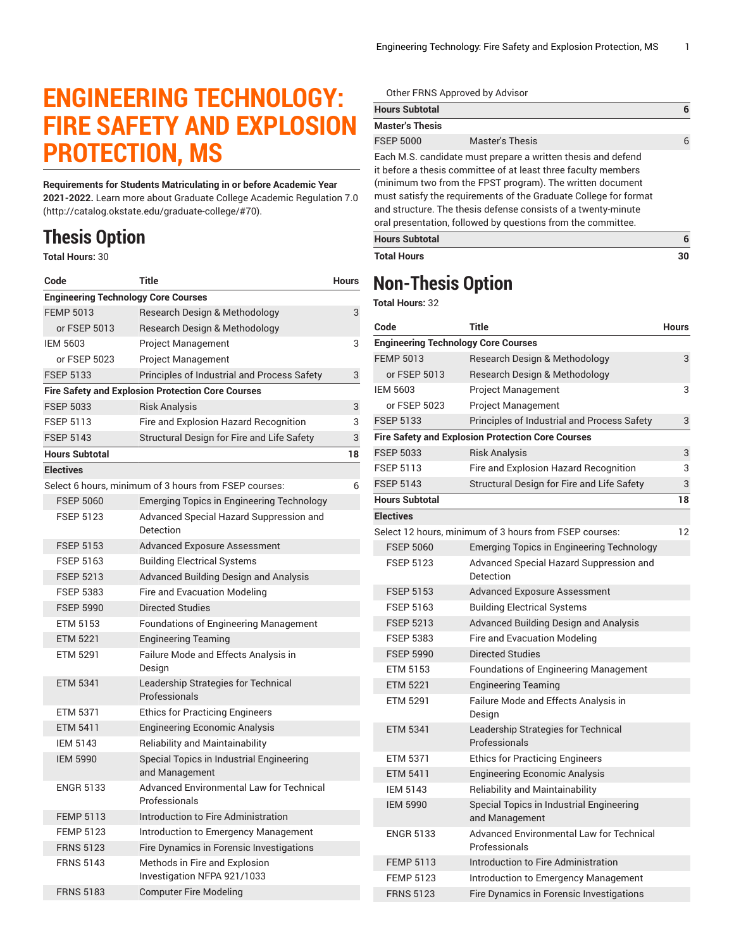## **ENGINEERING TECHNOLOGY: FIRE SAFETY AND EXPLOSION PROTECTION, MS**

**Requirements for Students Matriculating in or before Academic Year 2021-2022.** Learn more about [Graduate College Academic Regulation 7.0](http://catalog.okstate.edu/graduate-college/#70) (<http://catalog.okstate.edu/graduate-college/#70>).

## **Thesis Option**

**Total Hours:** 30

| Code                                       | <b>Title</b>                                                 | <b>Hours</b> |
|--------------------------------------------|--------------------------------------------------------------|--------------|
| <b>Engineering Technology Core Courses</b> |                                                              |              |
| <b>FEMP 5013</b>                           | Research Design & Methodology                                | 3            |
| or FSEP 5013                               | Research Design & Methodology                                |              |
| <b>IEM 5603</b>                            | <b>Project Management</b>                                    | 3            |
| or FSEP 5023                               | <b>Project Management</b>                                    |              |
| <b>FSEP 5133</b>                           | Principles of Industrial and Process Safety                  | 3            |
|                                            | <b>Fire Safety and Explosion Protection Core Courses</b>     |              |
| <b>FSEP 5033</b>                           | <b>Risk Analysis</b>                                         | 3            |
| <b>FSEP 5113</b>                           | Fire and Explosion Hazard Recognition                        | 3            |
| <b>FSEP 5143</b>                           | Structural Design for Fire and Life Safety                   | 3            |
| <b>Hours Subtotal</b>                      |                                                              | 18           |
| <b>Electives</b>                           |                                                              |              |
|                                            | Select 6 hours, minimum of 3 hours from FSEP courses:        | 6            |
| <b>FSEP 5060</b>                           | <b>Emerging Topics in Engineering Technology</b>             |              |
| <b>FSEP 5123</b>                           | Advanced Special Hazard Suppression and<br>Detection         |              |
| <b>FSEP 5153</b>                           | <b>Advanced Exposure Assessment</b>                          |              |
| <b>FSEP 5163</b>                           | <b>Building Electrical Systems</b>                           |              |
| <b>FSEP 5213</b>                           | Advanced Building Design and Analysis                        |              |
| <b>FSEP 5383</b>                           | Fire and Evacuation Modeling                                 |              |
| <b>FSEP 5990</b>                           | <b>Directed Studies</b>                                      |              |
| ETM 5153                                   | <b>Foundations of Engineering Management</b>                 |              |
| <b>ETM 5221</b>                            | <b>Engineering Teaming</b>                                   |              |
| <b>ETM 5291</b>                            | Failure Mode and Effects Analysis in<br>Design               |              |
| <b>ETM 5341</b>                            | Leadership Strategies for Technical<br>Professionals         |              |
| ETM 5371                                   | <b>Ethics for Practicing Engineers</b>                       |              |
| ETM 5411                                   | <b>Engineering Economic Analysis</b>                         |              |
| <b>IEM 5143</b>                            | <b>Reliability and Maintainability</b>                       |              |
| <b>IEM 5990</b>                            | Special Topics in Industrial Engineering<br>and Management   |              |
| <b>ENGR 5133</b>                           | Advanced Environmental Law for Technical<br>Professionals    |              |
| <b>FEMP 5113</b>                           | Introduction to Fire Administration                          |              |
| <b>FEMP 5123</b>                           | Introduction to Emergency Management                         |              |
| <b>FRNS 5123</b>                           | Fire Dynamics in Forensic Investigations                     |              |
| <b>FRNS 5143</b>                           | Methods in Fire and Explosion<br>Investigation NFPA 921/1033 |              |
| <b>FRNS 5183</b>                           | <b>Computer Fire Modeling</b>                                |              |

Other FRNS Approved by Advisor

| <b>Hours Subtotal</b>  |                                                                                                                                                                                                                                                                                                                                                                                                  | 6 |
|------------------------|--------------------------------------------------------------------------------------------------------------------------------------------------------------------------------------------------------------------------------------------------------------------------------------------------------------------------------------------------------------------------------------------------|---|
| <b>Master's Thesis</b> |                                                                                                                                                                                                                                                                                                                                                                                                  |   |
| <b>FSEP 5000</b>       | Master's Thesis                                                                                                                                                                                                                                                                                                                                                                                  | 6 |
|                        | Each M.S. candidate must prepare a written thesis and defend<br>it before a thesis committee of at least three faculty members<br>(minimum two from the FPST program). The written document<br>must satisfy the requirements of the Graduate College for format<br>and structure. The thesis defense consists of a twenty-minute<br>oral presentation, followed by questions from the committee. |   |
| <b>Hours Subtotal</b>  |                                                                                                                                                                                                                                                                                                                                                                                                  | 6 |

**Total Hours 30**

## **Non-Thesis Option**

**Total Hours:** 32

| Code                                                     | Title                                                            | <b>Hours</b> |  |  |
|----------------------------------------------------------|------------------------------------------------------------------|--------------|--|--|
| <b>Engineering Technology Core Courses</b>               |                                                                  |              |  |  |
| <b>FEMP 5013</b>                                         | Research Design & Methodology                                    | 3            |  |  |
| or FSEP 5013                                             | Research Design & Methodology                                    |              |  |  |
| <b>IEM 5603</b>                                          | <b>Project Management</b>                                        | 3            |  |  |
| or FSEP 5023                                             | <b>Project Management</b>                                        |              |  |  |
| <b>FSEP 5133</b>                                         | Principles of Industrial and Process Safety                      | 3            |  |  |
| <b>Fire Safety and Explosion Protection Core Courses</b> |                                                                  |              |  |  |
| <b>FSEP 5033</b>                                         | <b>Risk Analysis</b>                                             | 3            |  |  |
| <b>FSEP 5113</b>                                         | Fire and Explosion Hazard Recognition                            | 3            |  |  |
| <b>FSEP 5143</b>                                         | Structural Design for Fire and Life Safety                       | 3            |  |  |
| <b>Hours Subtotal</b>                                    |                                                                  | 18           |  |  |
| <b>Electives</b>                                         |                                                                  |              |  |  |
|                                                          | Select 12 hours, minimum of 3 hours from FSEP courses:           | 12           |  |  |
| <b>FSEP 5060</b>                                         | Emerging Topics in Engineering Technology                        |              |  |  |
| <b>FSEP 5123</b>                                         | Advanced Special Hazard Suppression and<br>Detection             |              |  |  |
| <b>FSEP 5153</b>                                         | <b>Advanced Exposure Assessment</b>                              |              |  |  |
| <b>FSEP 5163</b>                                         | <b>Building Electrical Systems</b>                               |              |  |  |
| <b>FSEP 5213</b>                                         | Advanced Building Design and Analysis                            |              |  |  |
| <b>FSEP 5383</b>                                         | Fire and Evacuation Modeling                                     |              |  |  |
| <b>FSEP 5990</b>                                         | <b>Directed Studies</b>                                          |              |  |  |
| ETM 5153                                                 | <b>Foundations of Engineering Management</b>                     |              |  |  |
| <b>ETM 5221</b>                                          | <b>Engineering Teaming</b>                                       |              |  |  |
| ETM 5291                                                 | Failure Mode and Effects Analysis in<br>Design                   |              |  |  |
| <b>ETM 5341</b>                                          | Leadership Strategies for Technical<br>Professionals             |              |  |  |
| ETM 5371                                                 | <b>Ethics for Practicing Engineers</b>                           |              |  |  |
| <b>ETM 5411</b>                                          | <b>Engineering Economic Analysis</b>                             |              |  |  |
| <b>IEM 5143</b>                                          | Reliability and Maintainability                                  |              |  |  |
| <b>IEM 5990</b>                                          | Special Topics in Industrial Engineering<br>and Management       |              |  |  |
| <b>ENGR 5133</b>                                         | <b>Advanced Environmental Law for Technical</b><br>Professionals |              |  |  |
| <b>FEMP 5113</b>                                         | Introduction to Fire Administration                              |              |  |  |
| <b>FEMP 5123</b>                                         | Introduction to Emergency Management                             |              |  |  |
| <b>FRNS 5123</b>                                         | Fire Dynamics in Forensic Investigations                         |              |  |  |
|                                                          |                                                                  |              |  |  |